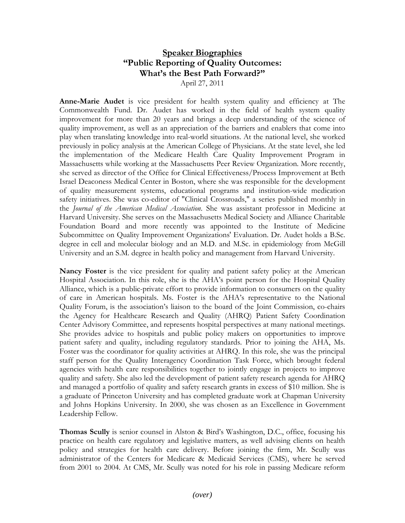## **Speaker Biographies "Public Reporting of Quality Outcomes: What's the Best Path Forward?"**

April 27, 2011

**Anne-Marie Audet** is vice president for health system quality and efficiency at The Commonwealth Fund. Dr. Audet has worked in the field of health system quality improvement for more than 20 years and brings a deep understanding of the science of quality improvement, as well as an appreciation of the barriers and enablers that come into play when translating knowledge into real-world situations. At the national level, she worked previously in policy analysis at the American College of Physicians. At the state level, she led the implementation of the Medicare Health Care Quality Improvement Program in Massachusetts while working at the Massachusetts Peer Review Organization. More recently, she served as director of the Office for Clinical Effectiveness/Process Improvement at Beth Israel Deaconess Medical Center in Boston, where she was responsible for the development of quality measurement systems, educational programs and institution-wide medication safety initiatives. She was co-editor of "Clinical Crossroads," a series published monthly in the *Journal of the American Medical Association*. She was assistant professor in Medicine at Harvard University. She serves on the Massachusetts Medical Society and Alliance Charitable Foundation Board and more recently was appointed to the Institute of Medicine Subcommittee on Quality Improvement Organizations' Evaluation. Dr. Audet holds a B.Sc. degree in cell and molecular biology and an M.D. and M.Sc. in epidemiology from McGill University and an S.M. degree in health policy and management from Harvard University.

**Nancy Foster** is the vice president for quality and patient safety policy at the American Hospital Association. In this role, she is the AHA's point person for the Hospital Quality Alliance, which is a public-private effort to provide information to consumers on the quality of care in American hospitals. Ms. Foster is the AHA's representative to the National Quality Forum, is the association's liaison to the board of the Joint Commission, co-chairs the Agency for Healthcare Research and Quality (AHRQ) Patient Safety Coordination Center Advisory Committee, and represents hospital perspectives at many national meetings. She provides advice to hospitals and public policy makers on opportunities to improve patient safety and quality, including regulatory standards. Prior to joining the AHA, Ms. Foster was the coordinator for quality activities at AHRQ. In this role, she was the principal staff person for the Quality Interagency Coordination Task Force, which brought federal agencies with health care responsibilities together to jointly engage in projects to improve quality and safety. She also led the development of patient safety research agenda for AHRQ and managed a portfolio of quality and safety research grants in excess of \$10 million. She is a graduate of Princeton University and has completed graduate work at Chapman University and Johns Hopkins University. In 2000, she was chosen as an Excellence in Government Leadership Fellow.

**Thomas Scully** is senior counsel in Alston & Bird's Washington, D.C., office, focusing his practice on health care regulatory and legislative matters, as well advising clients on health policy and strategies for health care delivery. Before joining the firm, Mr. Scully was administrator of the Centers for Medicare & Medicaid Services (CMS), where he served from 2001 to 2004. At CMS, Mr. Scully was noted for his role in passing Medicare reform